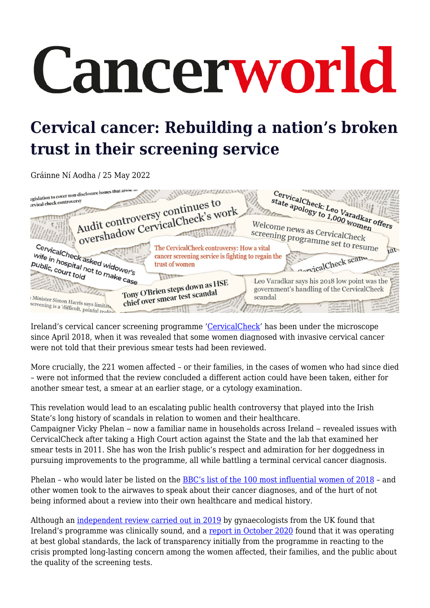# Cancerworld

# **Cervical cancer: Rebuilding a nation's broken trust in their screening service**

Gráinne Ní Aodha / 25 May 2022



Ireland's cervical cancer screening programme ['CervicalCheck](https://www2.hse.ie/cervical-screening/)' has been under the microscope since April 2018, when it was revealed that some women diagnosed with invasive cervical cancer were not told that their previous smear tests had been reviewed.

More crucially, the 221 women affected – or their families, in the cases of women who had since died – were not informed that the review concluded a different action could have been taken, either for another smear test, a smear at an earlier stage, or a cytology examination.

This revelation would lead to an escalating public health controversy that played into the Irish State's long history of scandals in relation to women and their healthcare.

Campaigner Vicky Phelan – now a familiar name in households across Ireland – revealed issues with CervicalCheck after taking a High Court action against the State and the lab that examined her smear tests in 2011. She has won the Irish public's respect and admiration for her doggedness in pursuing improvements to the programme, all while battling a terminal cervical cancer diagnosis.

Phelan – who would later be listed on the [BBC's list of the 100 most influential women of 2018](https://www.bbc.com/news/world-46225037) – and other women took to the airwaves to speak about their cancer diagnoses, and of the hurt of not being informed about a review into their own healthcare and medical history.

Although an [independent review carried out in 2019](https://www.gov.ie/en/publication/a4e567-expert-panel-review-of-cervical-screening/) by gynaecologists from the UK found that Ireland's programme was clinically sound, and a [report in October 2020](https://www2.hse.ie/file-library/cervical-screening/interval-cancer-report-cervicalcheck.pdf) found that it was operating at best global standards, the lack of transparency initially from the programme in reacting to the crisis prompted long-lasting concern among the women affected, their families, and the public about the quality of the screening tests.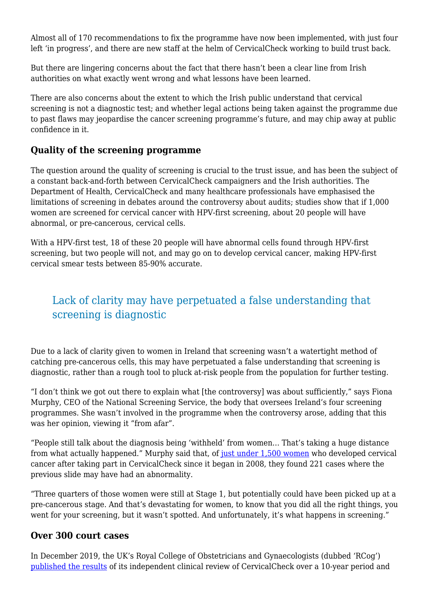Almost all of 170 recommendations to fix the programme have now been implemented, with just four left 'in progress', and there are new staff at the helm of CervicalCheck working to build trust back.

But there are lingering concerns about the fact that there hasn't been a clear line from Irish authorities on what exactly went wrong and what lessons have been learned.

There are also concerns about the extent to which the Irish public understand that cervical screening is not a diagnostic test; and whether legal actions being taken against the programme due to past flaws may jeopardise the cancer screening programme's future, and may chip away at public confidence in it.

#### **Quality of the screening programme**

The question around the quality of screening is crucial to the trust issue, and has been the subject of a constant back-and-forth between CervicalCheck campaigners and the Irish authorities. The Department of Health, CervicalCheck and many healthcare professionals have emphasised the limitations of screening in debates around the controversy about audits; studies show that if 1,000 women are screened for cervical cancer with HPV-first screening, about 20 people will have abnormal, or pre-cancerous, cervical cells.

With a HPV-first test, 18 of these 20 people will have abnormal cells found through HPV-first screening, but two people will not, and may go on to develop cervical cancer, making HPV-first cervical smear tests between 85-90% accurate.

# Lack of clarity may have perpetuated a false understanding that screening is diagnostic

Due to a lack of clarity given to women in Ireland that screening wasn't a watertight method of catching pre-cancerous cells, this may have perpetuated a false understanding that screening is diagnostic, rather than a rough tool to pluck at-risk people from the population for further testing.

"I don't think we got out there to explain what [the controversy] was about sufficiently," says Fiona Murphy, CEO of the National Screening Service, the body that oversees Ireland's four screening programmes. She wasn't involved in the programme when the controversy arose, adding that this was her opinion, viewing it "from afar".

"People still talk about the diagnosis being 'withheld' from women… That's taking a huge distance from what actually happened." Murphy said that, of [just under 1,500 women](https://www.thejournal.ie/cervicalcheck-3984294-Apr2018/) who developed cervical cancer after taking part in CervicalCheck since it began in 2008, they found 221 cases where the previous slide may have had an abnormality.

"Three quarters of those women were still at Stage 1, but potentially could have been picked up at a pre-cancerous stage. And that's devastating for women, to know that you did all the right things, you went for your screening, but it wasn't spotted. And unfortunately, it's what happens in screening."

#### **Over 300 court cases**

In December 2019, the UK's Royal College of Obstetricians and Gynaecologists (dubbed 'RCog') [published the results](https://www.gov.ie/en/publication/a4e567-expert-panel-review-of-cervical-screening/) of its independent clinical review of CervicalCheck over a 10-year period and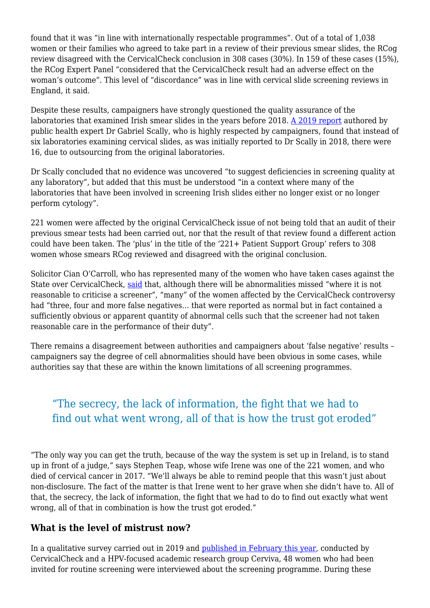found that it was "in line with internationally respectable programmes". Out of a total of 1,038 women or their families who agreed to take part in a review of their previous smear slides, the RCog review disagreed with the CervicalCheck conclusion in 308 cases (30%). In 159 of these cases (15%), the RCog Expert Panel "considered that the CervicalCheck result had an adverse effect on the woman's outcome". This level of "discordance" was in line with cervical slide screening reviews in England, it said.

Despite these results, campaigners have strongly questioned the quality assurance of the laboratories that examined Irish smear slides in the years before 2018. [A 2019 report](http://scallyreview.ie/?page_id=90) authored by public health expert Dr Gabriel Scally, who is highly respected by campaigners, found that instead of six laboratories examining cervical slides, as was initially reported to Dr Scally in 2018, there were 16, due to outsourcing from the original laboratories.

Dr Scally concluded that no evidence was uncovered "to suggest deficiencies in screening quality at any laboratory", but added that this must be understood "in a context where many of the laboratories that have been involved in screening Irish slides either no longer exist or no longer perform cytology".

221 women were affected by the original CervicalCheck issue of not being told that an audit of their previous smear tests had been carried out, nor that the result of that review found a different action could have been taken. The 'plus' in the title of the '221+ Patient Support Group' refers to 308 women whose smears RCog reviewed and disagreed with the original conclusion.

Solicitor Cian O'Carroll, who has represented many of the women who have taken cases against the State over CervicalCheck, [said](https://www.cianocarrollsolicitors.ie/cervicalcheck-cancer-misdiagnosis-cases.html) that, although there will be abnormalities missed "where it is not reasonable to criticise a screener", "many" of the women affected by the CervicalCheck controversy had "three, four and more false negatives… that were reported as normal but in fact contained a sufficiently obvious or apparent quantity of abnormal cells such that the screener had not taken reasonable care in the performance of their duty".

There remains a disagreement between authorities and campaigners about 'false negative' results – campaigners say the degree of cell abnormalities should have been obvious in some cases, while authorities say that these are within the known limitations of all screening programmes.

# "The secrecy, the lack of information, the fight that we had to find out what went wrong, all of that is how the trust got eroded"

"The only way you can get the truth, because of the way the system is set up in Ireland, is to stand up in front of a judge," says Stephen Teap, whose wife Irene was one of the 221 women, and who died of cervical cancer in 2017. "We'll always be able to remind people that this wasn't just about non-disclosure. The fact of the matter is that Irene went to her grave when she didn't have to. All of that, the secrecy, the lack of information, the fight that we had to do to find out exactly what went wrong, all of that in combination is how the trust got eroded."

#### **What is the level of mistrust now?**

In a qualitative survey carried out in 2019 and [published in February this year,](https://www.sciencedirect.com/science/article/pii/S2211335521003752?via%3Dihub#!) conducted by CervicalCheck and a HPV-focused academic research group Cerviva, 48 women who had been invited for routine screening were interviewed about the screening programme. During these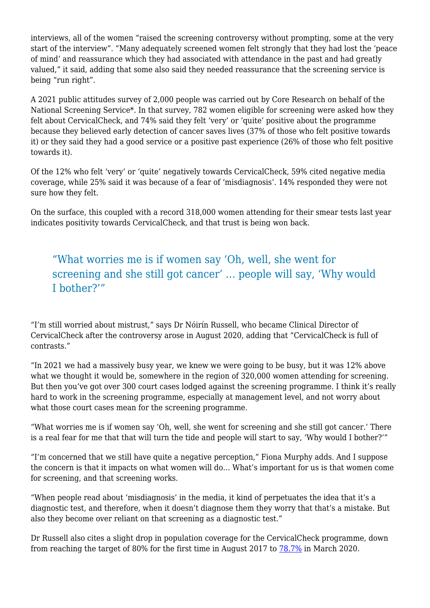interviews, all of the women "raised the screening controversy without prompting, some at the very start of the interview". "Many adequately screened women felt strongly that they had lost the 'peace of mind' and reassurance which they had associated with attendance in the past and had greatly valued," it said, adding that some also said they needed reassurance that the screening service is being "run right".

A 2021 public attitudes survey of 2,000 people was carried out by Core Research on behalf of the National Screening Service\*. In that survey, 782 women eligible for screening were asked how they felt about CervicalCheck, and 74% said they felt 'very' or 'quite' positive about the programme because they believed early detection of cancer saves lives (37% of those who felt positive towards it) or they said they had a good service or a positive past experience (26% of those who felt positive towards it).

Of the 12% who felt 'very' or 'quite' negatively towards CervicalCheck, 59% cited negative media coverage, while 25% said it was because of a fear of 'misdiagnosis'. 14% responded they were not sure how they felt.

On the surface, this coupled with a record 318,000 women attending for their smear tests last year indicates positivity towards CervicalCheck, and that trust is being won back.

# "What worries me is if women say 'Oh, well, she went for screening and she still got cancer' … people will say, 'Why would I bother?'"

"I'm still worried about mistrust," says Dr Nóirín Russell, who became Clinical Director of CervicalCheck after the controversy arose in August 2020, adding that "CervicalCheck is full of contrasts."

"In 2021 we had a massively busy year, we knew we were going to be busy, but it was 12% above what we thought it would be, somewhere in the region of 320,000 women attending for screening. But then you've got over 300 court cases lodged against the screening programme. I think it's really hard to work in the screening programme, especially at management level, and not worry about what those court cases mean for the screening programme.

"What worries me is if women say 'Oh, well, she went for screening and she still got cancer.' There is a real fear for me that that will turn the tide and people will start to say, 'Why would I bother?'"

"I'm concerned that we still have quite a negative perception," Fiona Murphy adds. And I suppose the concern is that it impacts on what women will do… What's important for us is that women come for screening, and that screening works.

"When people read about 'misdiagnosis' in the media, it kind of perpetuates the idea that it's a diagnostic test, and therefore, when it doesn't diagnose them they worry that that's a mistake. But also they become over reliant on that screening as a diagnostic test."

Dr Russell also cites a slight drop in population coverage for the CervicalCheck programme, down from reaching the target of 80% for the first time in August 2017 to [78.7%](https://www.thejournal.ie/cervicalcheck-report-5737863-Apr2022/) in March 2020.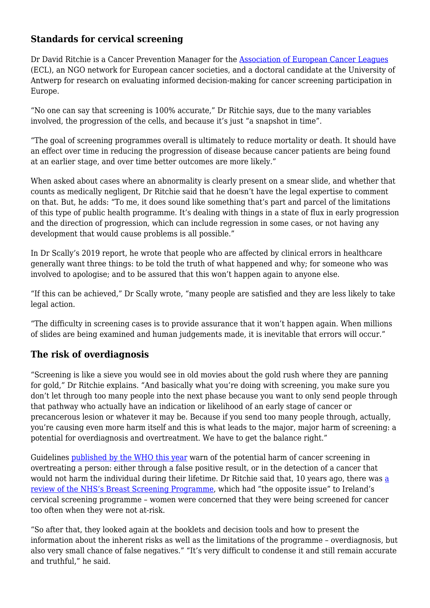### **Standards for cervical screening**

Dr David Ritchie is a Cancer Prevention Manager for the [Association of European Cancer Leagues](https://www.cancer.eu/) (ECL), an NGO network for European cancer societies, and a doctoral candidate at the University of Antwerp for research on evaluating informed decision-making for cancer screening participation in Europe.

"No one can say that screening is 100% accurate," Dr Ritchie says, due to the many variables involved, the progression of the cells, and because it's just "a snapshot in time".

"The goal of screening programmes overall is ultimately to reduce mortality or death. It should have an effect over time in reducing the progression of disease because cancer patients are being found at an earlier stage, and over time better outcomes are more likely."

When asked about cases where an abnormality is clearly present on a smear slide, and whether that counts as medically negligent, Dr Ritchie said that he doesn't have the legal expertise to comment on that. But, he adds: "To me, it does sound like something that's part and parcel of the limitations of this type of public health programme. It's dealing with things in a state of flux in early progression and the direction of progression, which can include regression in some cases, or not having any development that would cause problems is all possible."

In Dr Scally's 2019 report, he wrote that people who are affected by clinical errors in healthcare generally want three things: to be told the truth of what happened and why; for someone who was involved to apologise; and to be assured that this won't happen again to anyone else.

"If this can be achieved," Dr Scally wrote, "many people are satisfied and they are less likely to take legal action.

"The difficulty in screening cases is to provide assurance that it won't happen again. When millions of slides are being examined and human judgements made, it is inevitable that errors will occur."

## **The risk of overdiagnosis**

"Screening is like a sieve you would see in old movies about the gold rush where they are panning for gold," Dr Ritchie explains. "And basically what you're doing with screening, you make sure you don't let through too many people into the next phase because you want to only send people through that pathway who actually have an indication or likelihood of an early stage of cancer or precancerous lesion or whatever it may be. Because if you send too many people through, actually, you're causing even more harm itself and this is what leads to the major, major harm of screening: a potential for overdiagnosis and overtreatment. We have to get the balance right."

Guidelines [published by the WHO this year](https://www.euro.who.int/en/health-topics/noncommunicable-diseases/cancer/publications/2022/a-short-guide-to-cancer-screening.-increase-effectiveness,-maximize-benefits-and-minimize-harm-2022) warn of the potential harm of cancer screening in overtreating a person: either through a false positive result, or in the detection of a cancer that would not h[a](https://www.cancerresearchuk.org/about-cancer/breast-cancer/getting-diagnosed/screening/screening-2012-review#:~:text=In%20England%20the%20programme%20is,your%20local%20breast%20screening%20unit.)rm the individual during their lifetime. Dr Ritchie said that, 10 years ago, there was a [review of the NHS's Breast Screening Programme,](https://www.cancerresearchuk.org/about-cancer/breast-cancer/getting-diagnosed/screening/screening-2012-review#:~:text=In%20England%20the%20programme%20is,your%20local%20breast%20screening%20unit.) which had "the opposite issue" to Ireland's cervical screening programme – women were concerned that they were being screened for cancer too often when they were not at-risk.

"So after that, they looked again at the booklets and decision tools and how to present the information about the inherent risks as well as the limitations of the programme – overdiagnosis, but also very small chance of false negatives." "It's very difficult to condense it and still remain accurate and truthful," he said.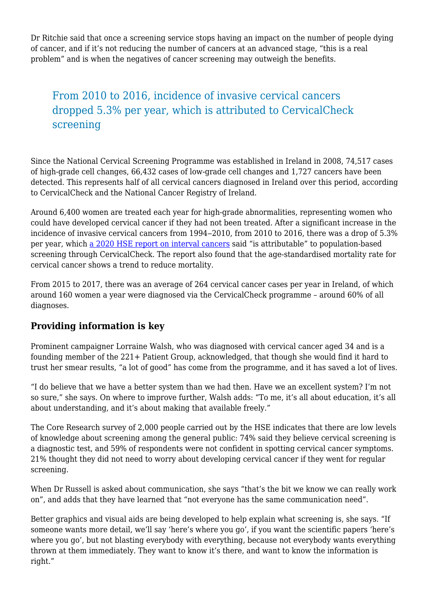Dr Ritchie said that once a screening service stops having an impact on the number of people dying of cancer, and if it's not reducing the number of cancers at an advanced stage, "this is a real problem" and is when the negatives of cancer screening may outweigh the benefits.

# From 2010 to 2016, incidence of invasive cervical cancers dropped 5.3% per year, which is attributed to CervicalCheck screening

Since the National Cervical Screening Programme was established in Ireland in 2008, 74,517 cases of high-grade cell changes, 66,432 cases of low-grade cell changes and 1,727 cancers have been detected. This represents half of all cervical cancers diagnosed in Ireland over this period, according to CervicalCheck and the National Cancer Registry of Ireland.

Around 6,400 women are treated each year for high-grade abnormalities, representing women who could have developed cervical cancer if they had not been treated. After a significant increase in the incidence of invasive cervical cancers from 1994–2010, from 2010 to 2016, there was a drop of 5.3% per year, which [a 2020 HSE report on interval cancers](https://www2.hse.ie/file-library/cervical-screening/interval-cancer-report-cervicalcheck.pdf) said "is attributable" to population-based screening through CervicalCheck. The report also found that the age-standardised mortality rate for cervical cancer shows a trend to reduce mortality.

From 2015 to 2017, there was an average of 264 cervical cancer cases per year in Ireland, of which around 160 women a year were diagnosed via the CervicalCheck programme – around 60% of all diagnoses.

#### **Providing information is key**

Prominent campaigner Lorraine Walsh, who was diagnosed with cervical cancer aged 34 and is a founding member of the 221+ Patient Group, acknowledged, that though she would find it hard to trust her smear results, "a lot of good" has come from the programme, and it has saved a lot of lives.

"I do believe that we have a better system than we had then. Have we an excellent system? I'm not so sure," she says. On where to improve further, Walsh adds: "To me, it's all about education, it's all about understanding, and it's about making that available freely."

The Core Research survey of 2,000 people carried out by the HSE indicates that there are low levels of knowledge about screening among the general public: 74% said they believe cervical screening is a diagnostic test, and 59% of respondents were not confident in spotting cervical cancer symptoms. 21% thought they did not need to worry about developing cervical cancer if they went for regular screening.

When Dr Russell is asked about communication, she says "that's the bit we know we can really work on", and adds that they have learned that "not everyone has the same communication need".

Better graphics and visual aids are being developed to help explain what screening is, she says. "If someone wants more detail, we'll say 'here's where you go', if you want the scientific papers 'here's where you go', but not blasting everybody with everything, because not everybody wants everything thrown at them immediately. They want to know it's there, and want to know the information is right."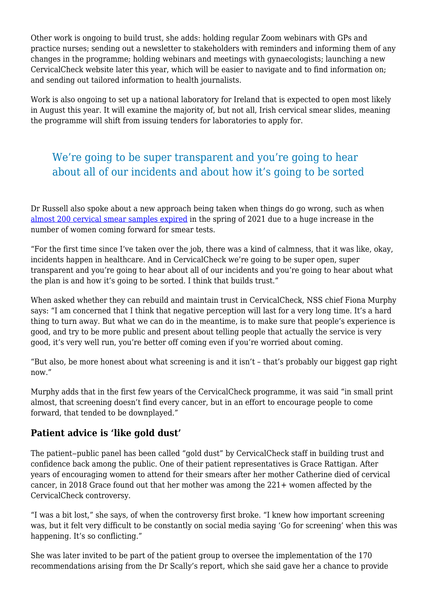Other work is ongoing to build trust, she adds: holding regular Zoom webinars with GPs and practice nurses; sending out a newsletter to stakeholders with reminders and informing them of any changes in the programme; holding webinars and meetings with gynaecologists; launching a new CervicalCheck website later this year, which will be easier to navigate and to find information on; and sending out tailored information to health journalists.

Work is also ongoing to set up a national laboratory for Ireland that is expected to open most likely in August this year. It will examine the majority of, but not all, Irish cervical smear slides, meaning the programme will shift from issuing tenders for laboratories to apply for.

# We're going to be super transparent and you're going to hear about all of our incidents and about how it's going to be sorted

Dr Russell also spoke about a new approach being taken when things do go wrong, such as when [almost 200 cervical smear samples expired](https://www.thejournal.ie/hpv-screening-5499396-Jul2021/) in the spring of 2021 due to a huge increase in the number of women coming forward for smear tests.

"For the first time since I've taken over the job, there was a kind of calmness, that it was like, okay, incidents happen in healthcare. And in CervicalCheck we're going to be super open, super transparent and you're going to hear about all of our incidents and you're going to hear about what the plan is and how it's going to be sorted. I think that builds trust."

When asked whether they can rebuild and maintain trust in CervicalCheck, NSS chief Fiona Murphy says: "I am concerned that I think that negative perception will last for a very long time. It's a hard thing to turn away. But what we can do in the meantime, is to make sure that people's experience is good, and try to be more public and present about telling people that actually the service is very good, it's very well run, you're better off coming even if you're worried about coming.

"But also, be more honest about what screening is and it isn't – that's probably our biggest gap right now."

Murphy adds that in the first few years of the CervicalCheck programme, it was said "in small print almost, that screening doesn't find every cancer, but in an effort to encourage people to come forward, that tended to be downplayed."

#### **Patient advice is 'like gold dust'**

The patient–public panel has been called "gold dust" by CervicalCheck staff in building trust and confidence back among the public. One of their patient representatives is Grace Rattigan. After years of encouraging women to attend for their smears after her mother Catherine died of cervical cancer, in 2018 Grace found out that her mother was among the 221+ women affected by the CervicalCheck controversy.

"I was a bit lost," she says, of when the controversy first broke. "I knew how important screening was, but it felt very difficult to be constantly on social media saying 'Go for screening' when this was happening. It's so conflicting."

She was later invited to be part of the patient group to oversee the implementation of the 170 recommendations arising from the Dr Scally's report, which she said gave her a chance to provide